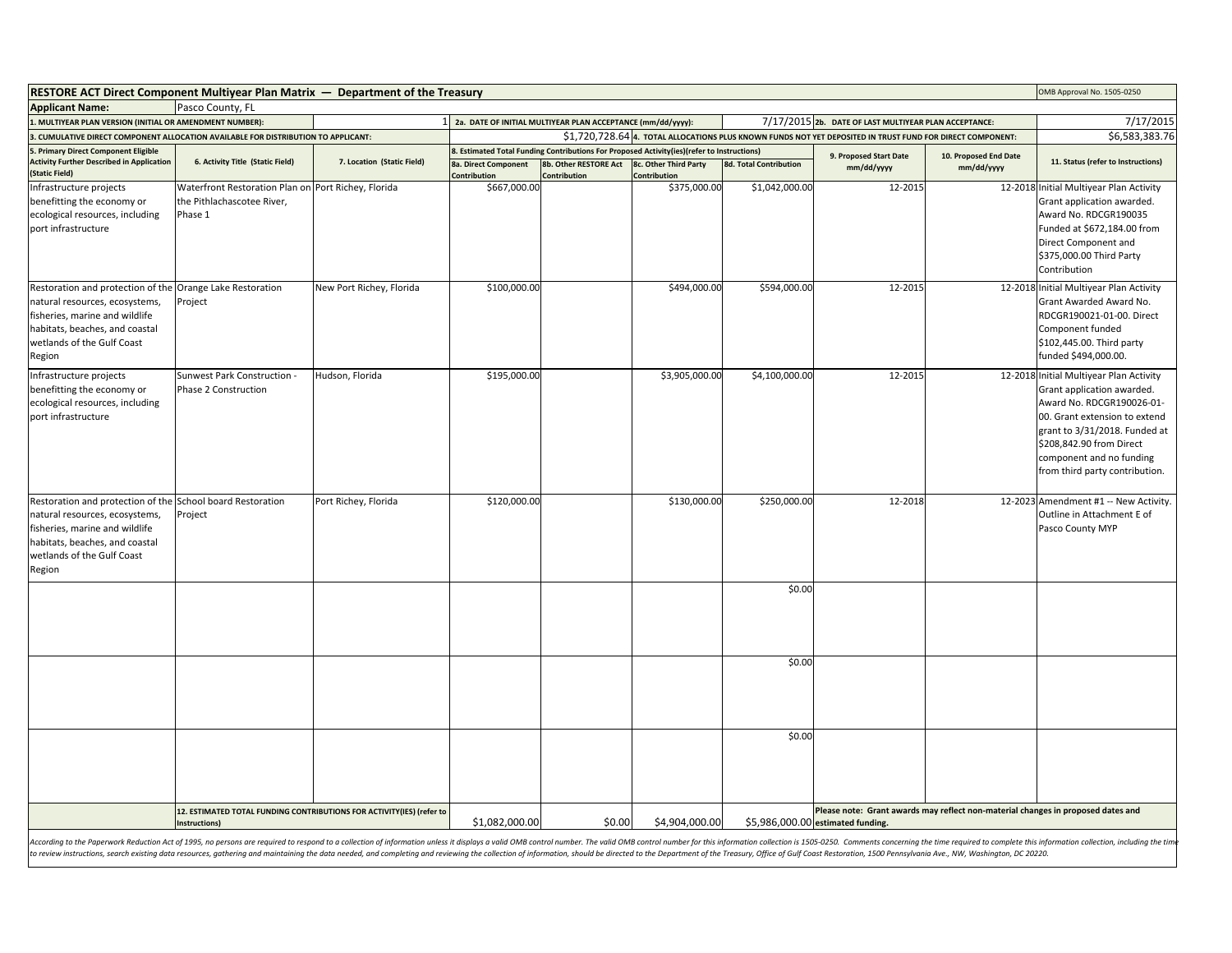| <b>RESTORE ACT Direct Component Multiyear Plan Matrix — Department of the Treasury</b><br>OMB Approval No. 1505-0250                                                                                                           |                                                                                        |                            |                                                                                                                        |                                                                                                                                     |                                       |                               |                                                                                                                       |                                     |                                                                                                                                                                                                                                                                |
|--------------------------------------------------------------------------------------------------------------------------------------------------------------------------------------------------------------------------------|----------------------------------------------------------------------------------------|----------------------------|------------------------------------------------------------------------------------------------------------------------|-------------------------------------------------------------------------------------------------------------------------------------|---------------------------------------|-------------------------------|-----------------------------------------------------------------------------------------------------------------------|-------------------------------------|----------------------------------------------------------------------------------------------------------------------------------------------------------------------------------------------------------------------------------------------------------------|
| <b>Applicant Name:</b>                                                                                                                                                                                                         | Pasco County, FL                                                                       |                            |                                                                                                                        |                                                                                                                                     |                                       |                               |                                                                                                                       |                                     |                                                                                                                                                                                                                                                                |
| 1. MULTIYEAR PLAN VERSION (INITIAL OR AMENDMENT NUMBER):                                                                                                                                                                       |                                                                                        |                            | 1 2a. DATE OF INITIAL MULTIYEAR PLAN ACCEPTANCE (mm/dd/yyyy):<br>7/17/2015 2b. DATE OF LAST MULTIYEAR PLAN ACCEPTANCE: |                                                                                                                                     |                                       |                               |                                                                                                                       |                                     | 7/17/2015                                                                                                                                                                                                                                                      |
| 3. CUMULATIVE DIRECT COMPONENT ALLOCATION AVAILABLE FOR DISTRIBUTION TO APPLICANT:                                                                                                                                             |                                                                                        |                            | \$1,720,728.64 4. TOTAL ALLOCATIONS PLUS KNOWN FUNDS NOT YET DEPOSITED IN TRUST FUND FOR DIRECT COMPONENT:             |                                                                                                                                     |                                       |                               |                                                                                                                       |                                     | \$6,583,383.76                                                                                                                                                                                                                                                 |
| 5. Primary Direct Component Eligible<br><b>Activity Further Described in Application</b><br>(Static Field)                                                                                                                     | 6. Activity Title (Static Field)                                                       | 7. Location (Static Field) | 8a. Direct Component<br>Contribution                                                                                   | 8. Estimated Total Funding Contributions For Proposed Activity(ies)(refer to Instructions)<br>8b. Other RESTORE Act<br>Contribution | 8c. Other Third Party<br>Contribution | <b>8d. Total Contribution</b> | 9. Proposed Start Date<br>mm/dd/yyyy                                                                                  | 10. Proposed End Date<br>mm/dd/yyyy | 11. Status (refer to Instructions)                                                                                                                                                                                                                             |
| Infrastructure projects<br>benefitting the economy or<br>ecological resources, including<br>port infrastructure                                                                                                                | Waterfront Restoration Plan or<br>the Pithlachascotee River,<br>Phase 1                | Port Richey, Florida       | \$667,000.00                                                                                                           |                                                                                                                                     | \$375,000.00                          | \$1,042,000.00                | 12-2015                                                                                                               |                                     | 12-2018 Initial Multiyear Plan Activity<br>Grant application awarded.<br>Award No. RDCGR190035<br>Funded at \$672,184.00 from<br>Direct Component and<br>\$375,000.00 Third Party<br>Contribution                                                              |
| Restoration and protection of the<br>natural resources, ecosystems,<br>fisheries, marine and wildlife<br>habitats, beaches, and coastal<br>wetlands of the Gulf Coast<br>Region                                                | Orange Lake Restoration<br>Project                                                     | New Port Richey, Florida   | \$100,000.00                                                                                                           |                                                                                                                                     | \$494,000.00                          | \$594,000.00                  | 12-2015                                                                                                               |                                     | 12-2018 Initial Multiyear Plan Activity<br>Grant Awarded Award No.<br>RDCGR190021-01-00. Direct<br>Component funded<br>\$102,445.00. Third party<br>funded \$494,000.00.                                                                                       |
| Infrastructure projects<br>benefitting the economy or<br>ecological resources, including<br>port infrastructure                                                                                                                | Sunwest Park Construction -<br><b>Phase 2 Construction</b>                             | Hudson, Florida            | \$195,000.00                                                                                                           |                                                                                                                                     | \$3,905,000.00                        | \$4,100,000.00                | 12-2015                                                                                                               |                                     | 12-2018 Initial Multiyear Plan Activity<br>Grant application awarded.<br>Award No. RDCGR190026-01-<br>00. Grant extension to extend<br>grant to 3/31/2018. Funded at<br>\$208,842.90 from Direct<br>component and no funding<br>from third party contribution. |
| Restoration and protection of the School board Restoration<br>natural resources, ecosystems,<br>fisheries, marine and wildlife<br>habitats, beaches, and coastal<br>wetlands of the Gulf Coast<br>Region                       | Project                                                                                | Port Richey, Florida       | \$120,000.00                                                                                                           |                                                                                                                                     | \$130,000.00                          | \$250,000.00                  | 12-2018                                                                                                               |                                     | 12-2023 Amendment #1 -- New Activity.<br>Outline in Attachment E of<br>Pasco County MYP                                                                                                                                                                        |
|                                                                                                                                                                                                                                |                                                                                        |                            |                                                                                                                        |                                                                                                                                     |                                       | \$0.00                        |                                                                                                                       |                                     |                                                                                                                                                                                                                                                                |
|                                                                                                                                                                                                                                |                                                                                        |                            |                                                                                                                        |                                                                                                                                     |                                       | \$0.00                        |                                                                                                                       |                                     |                                                                                                                                                                                                                                                                |
|                                                                                                                                                                                                                                |                                                                                        |                            |                                                                                                                        |                                                                                                                                     |                                       | \$0.00                        |                                                                                                                       |                                     |                                                                                                                                                                                                                                                                |
|                                                                                                                                                                                                                                | 12. ESTIMATED TOTAL FUNDING CONTRIBUTIONS FOR ACTIVITY(IES) (refer to<br>Instructions) |                            | \$1,082,000.00                                                                                                         | \$0.00                                                                                                                              | \$4,904,000.00                        |                               | Please note: Grant awards may reflect non-material changes in proposed dates and<br>\$5,986,000.00 estimated funding. |                                     |                                                                                                                                                                                                                                                                |
| According to the Paperwork Reduction Act of 1995, no persons are required to respond to a collection of information unless it displays a valid OMB control number. The valid OMB control number for this information collectio |                                                                                        |                            |                                                                                                                        |                                                                                                                                     |                                       |                               |                                                                                                                       |                                     |                                                                                                                                                                                                                                                                |

to review instructions, search existing data resources, gathering and maintaining the data needed, and completing and reviewing the collection of information, should be directed to the Department of the Treasury, Office of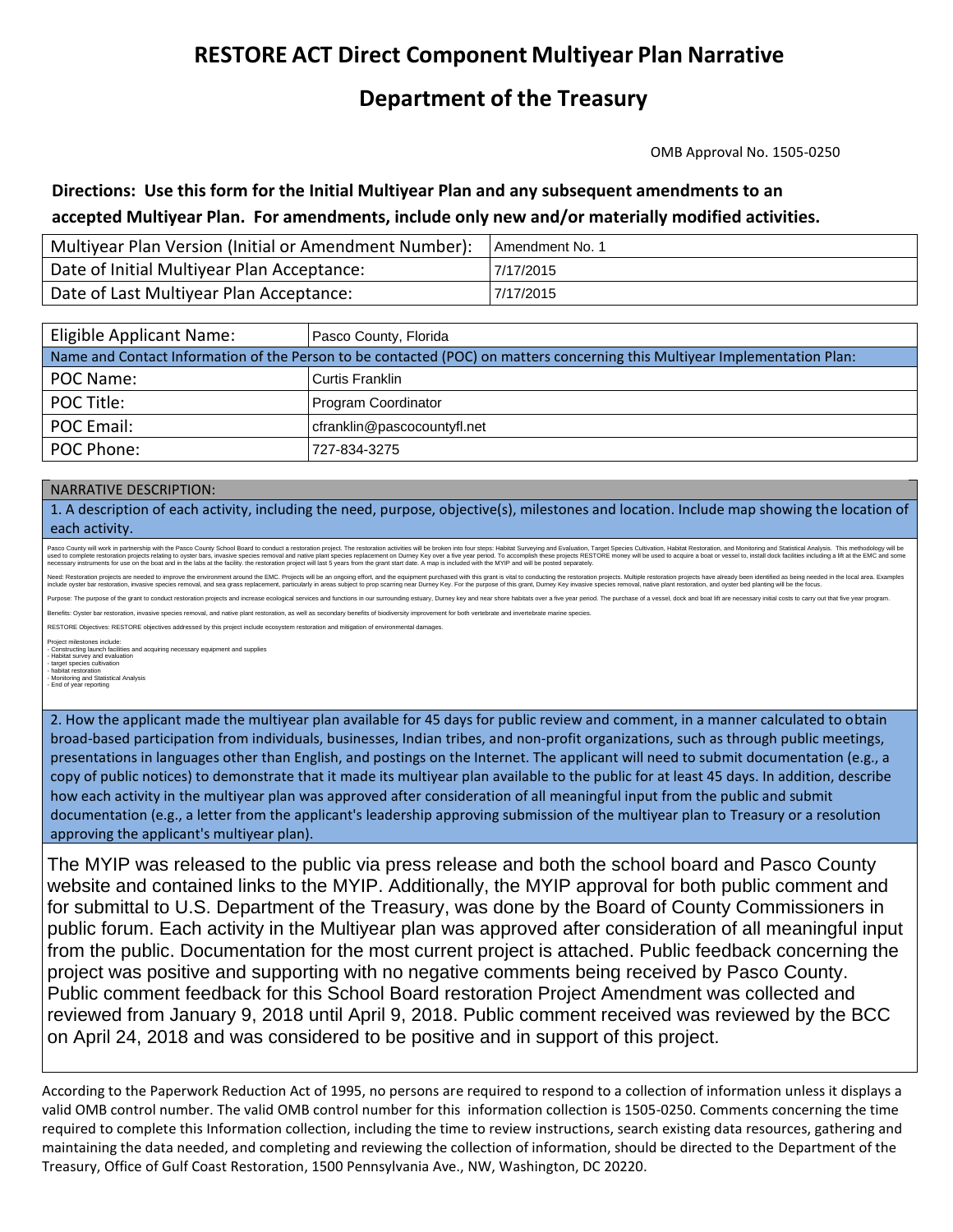# **RESTORE ACT Direct Component Multiyear Plan Narrative**

# **Department of the Treasury**

OMB Approval No. 1505-0250

### Directions: Use this form for the Initial Multiyear Plan and any subsequent amendments to an  **accepted Multiyear Plan. For amendments, include only new and/or materially modified activities.**

| Multiyear Plan Version (Initial or Amendment Number): | <b>Amendment No. 1</b> |
|-------------------------------------------------------|------------------------|
| Date of Initial Multiyear Plan Acceptance:            | 7/17/2015              |
| Date of Last Multiyear Plan Acceptance:               | 7/17/2015              |

| Eligible Applicant Name:                                                                                                   | Pasco County, Florida       |  |  |  |
|----------------------------------------------------------------------------------------------------------------------------|-----------------------------|--|--|--|
| Name and Contact Information of the Person to be contacted (POC) on matters concerning this Multiyear Implementation Plan: |                             |  |  |  |
| POC Name:                                                                                                                  | Curtis Franklin             |  |  |  |
| POC Title:                                                                                                                 | Program Coordinator         |  |  |  |
| POC Email:                                                                                                                 | cfranklin@pascocountyfl.net |  |  |  |
| POC Phone:                                                                                                                 | 727-834-3275                |  |  |  |

#### NARRATIVE DESCRIPTION:

1. A description of each activity, including the need, purpose, objective(s), milestones and location. Include map showing the location of each activity.

Pasco County will work in partnership with the Pasco County School Board to conduct a restoration project. The restoration activities will be broken into four steps: Habitat Surveying and Evaluation, Target Species Cultiva

Need: Restoration prights are needed to improve the environment around the EMC. Projects will be an orgoing effort, and the equipment purchased with this grant is vial at least ended to probe enter by ended to produce the

Purpose: The purpose of the grant to conduct restoration projects and increase ecological services and functions in our surrounding estuary, Durney key and near shore habitats over a five year period. The purchase of a ves Benefits: Oyster bar restoration, invasive species removal, and native plant restoration, as well as secondary benefits of biodiversity improvement for both vertebrate and invertebrate marine species.

RESTORE Objectives: RESTORE objectives addressed by this project include ecosystem restoration and mitigation of environmental damages.

Project milestones include:<br>- Constructing launch facilities and acquiring necessary equipment and supplies<br>- Habitat survey and evaluation<br>- target species cultivation

- habitat restoration - Monitoring and Statistical Analysis - End of year reporting

2. How the applicant made the multiyear plan available for 45 days for public review and comment, in a manner calculated to obtain broad-based participation from individuals, businesses, Indian tribes, and non-profit organizations, such as through public meetings, presentations in languages other than English, and postings on the Internet. The applicant will need to submit documentation (e.g., a copy of public notices) to demonstrate that it made its multiyear plan available to the public for at least 45 days. In addition, describe how each activity in the multiyear plan was approved after consideration of all meaningful input from the public and submit documentation (e.g., a letter from the applicant's leadership approving submission of the multiyear plan to Treasury or a resolution approving the applicant's multiyear plan).

The MYIP was released to the public via press release and both the school board and Pasco County website and contained links to the MYIP. Additionally, the MYIP approval for both public comment and for submittal to U.S. Department of the Treasury, was done by the Board of County Commissioners in public forum. Each activity in the Multiyear plan was approved after consideration of all meaningful input from the public. Documentation for the most current project is attached. Public feedback concerning the project was positive and supporting with no negative comments being received by Pasco County. Public comment feedback for this School Board restoration Project Amendment was collected and reviewed from January 9, 2018 until April 9, 2018. Public comment received was reviewed by the BCC on April 24, 2018 and was considered to be positive and in support of this project.

 valid OMB control number. The valid OMB control number for this information collection is 1505-0250. Comments concerning the time According to the Paperwork Reduction Act of 1995, no persons are required to respond to a collection of information unless it displays a required to complete this Information collection, including the time to review instructions, search existing data resources, gathering and maintaining the data needed, and completing and reviewing the collection of information, should be directed to the Department of the Treasury, Office of Gulf Coast Restoration, 1500 Pennsylvania Ave., NW, Washington, DC 20220.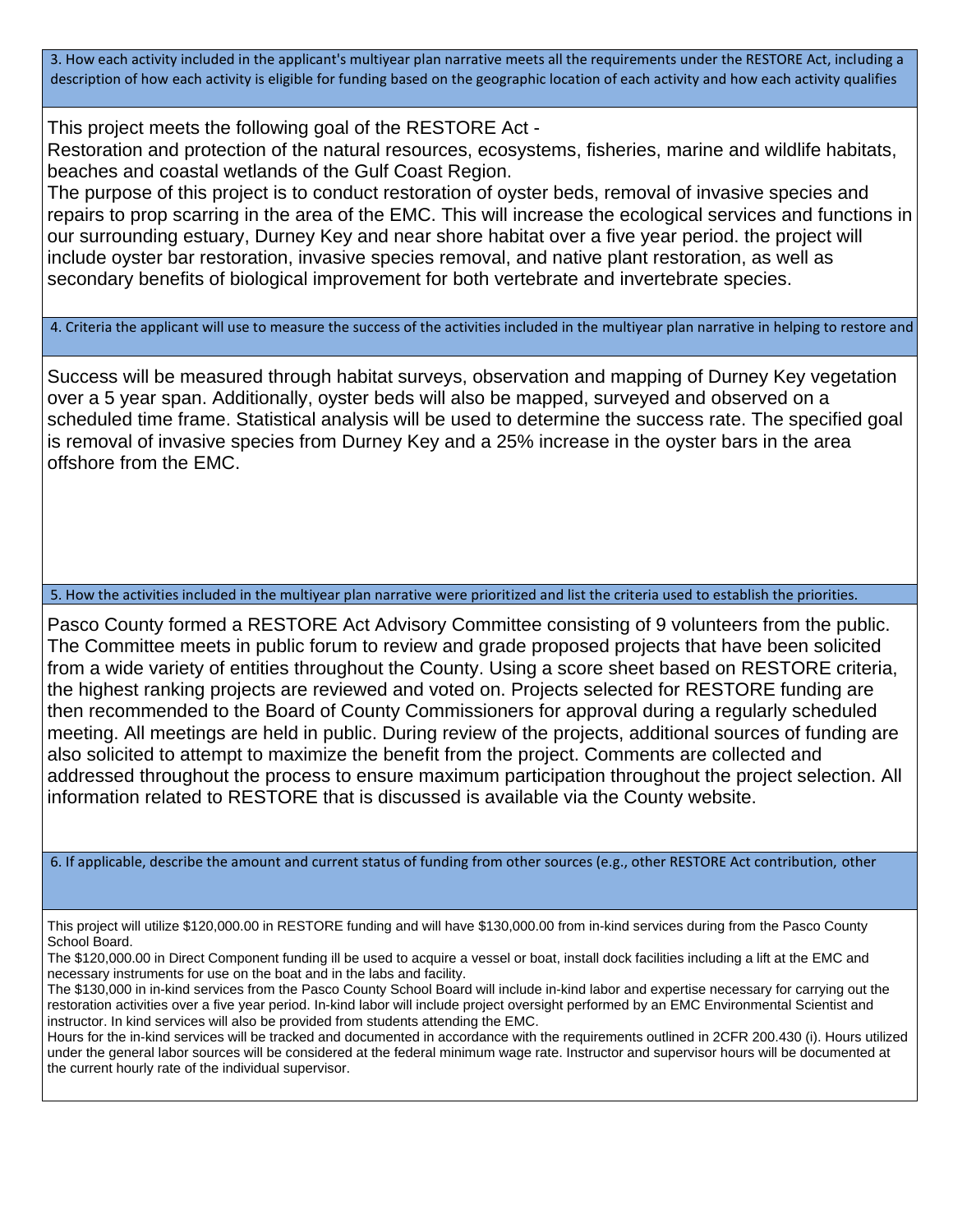3. How each activity included in the applicant's multiyear plan narrative meets all the requirements under the RESTORE Act, including a description of how each activity is eligible for funding based on the geographic location of each activity and how each activity qualifies

This project meets the following goal of the RESTORE Act -

Restoration and protection of the natural resources, ecosystems, fisheries, marine and wildlife habitats, beaches and coastal wetlands of the Gulf Coast Region.

The purpose of this project is to conduct restoration of oyster beds, removal of invasive species and repairs to prop scarring in the area of the EMC. This will increase the ecological services and functions in our surrounding estuary, Durney Key and near shore habitat over a five year period. the project will include oyster bar restoration, invasive species removal, and native plant restoration, as well as secondary benefits of biological improvement for both vertebrate and invertebrate species.

4. Criteria the applicant will use to measure the success of the activities included in the multiyear plan narrative in helping to restore and

Success will be measured through habitat surveys, observation and mapping of Durney Key vegetation over a 5 year span. Additionally, oyster beds will also be mapped, surveyed and observed on a scheduled time frame. Statistical analysis will be used to determine the success rate. The specified goal is removal of invasive species from Durney Key and a 25% increase in the oyster bars in the area offshore from the EMC.

5. How the activities included in the multiyear plan narrative were prioritized and list the criteria used to establish the priorities.

Pasco County formed a RESTORE Act Advisory Committee consisting of 9 volunteers from the public. The Committee meets in public forum to review and grade proposed projects that have been solicited from a wide variety of entities throughout the County. Using a score sheet based on RESTORE criteria, the highest ranking projects are reviewed and voted on. Projects selected for RESTORE funding are then recommended to the Board of County Commissioners for approval during a regularly scheduled meeting. All meetings are held in public. During review of the projects, additional sources of funding are also solicited to attempt to maximize the benefit from the project. Comments are collected and addressed throughout the process to ensure maximum participation throughout the project selection. All information related to RESTORE that is discussed is available via the County website.

6. If applicable, describe the amount and current status of funding from other sources (e.g., other RESTORE Act contribution, other

This project will utilize \$120,000.00 in RESTORE funding and will have \$130,000.00 from in-kind services during from the Pasco County School Board.

The \$120,000.00 in Direct Component funding ill be used to acquire a vessel or boat, install dock facilities including a lift at the EMC and necessary instruments for use on the boat and in the labs and facility.

The \$130,000 in in-kind services from the Pasco County School Board will include in-kind labor and expertise necessary for carrying out the restoration activities over a five year period. In-kind labor will include project oversight performed by an EMC Environmental Scientist and instructor. In kind services will also be provided from students attending the EMC.

Hours for the in-kind services will be tracked and documented in accordance with the requirements outlined in 2CFR 200.430 (i). Hours utilized under the general labor sources will be considered at the federal minimum wage rate. Instructor and supervisor hours will be documented at the current hourly rate of the individual supervisor.